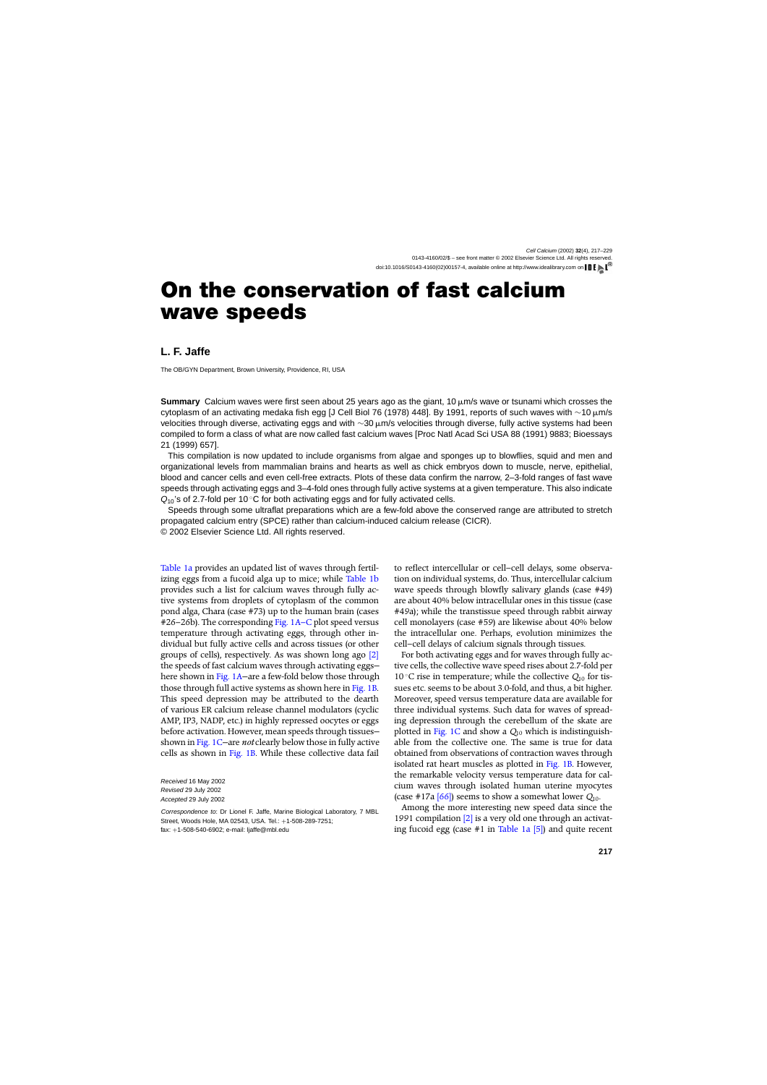# **On the conservation of fast calcium wave speeds**

### **L. F. Jaffe**

The OB/GYN Department, Brown University, Providence, RI, USA

**Summary** Calcium waves were first seen about 25 years ago as the giant, 10  $\mu$ m/s wave or tsunami which crosses the cytoplasm of an activating medaka fish egg [J Cell Biol 76 (1978) 448]. By 1991, reports of such waves with ∼10 μm/s velocities through diverse, activating eggs and with ∼30 μm/s velocities through diverse, fully active systems had been compiled to form a class of what are now called fast calcium waves [Proc Natl Acad Sci USA 88 (1991) 9883; Bioessays 21 (1999) 657].

This compilation is now updated to include organisms from algae and sponges up to blowflies, squid and men and organizational levels from mammalian brains and hearts as well as chick embryos down to muscle, nerve, epithelial, blood and cancer cells and even cell-free extracts. Plots of these data confirm the narrow, 2–3-fold ranges of fast wave speeds through activating eggs and 3–4-fold ones through fully active systems at a given temperature. This also indicate  $Q_{10}$ 's of 2.7-fold per 10 °C for both activating eggs and for fully activated cells.

Speeds through some ultraflat preparations which are a few-fold above the conserved range are attributed to stretch propagated calcium entry (SPCE) rather than calcium-induced calcium release (CICR). © 2002 Elsevier Science Ltd. All rights reserved.

[Table 1a](#page-1-0) provides an updated list of waves through fertilizing eggs from a fucoid alga up to mice; while [Table 1b](#page-2-0) provides such a list for calcium waves through fully active systems from droplets of cytoplasm of the common pond alga, Chara (case #73) up to the human brain (cases #26–26b). The corresponding [Fig. 1A–C](#page-5-0) plot speed versus temperature through activating eggs, through other individual but fully active cells and across tissues (or other groups of cells), respectively. As was shown long ago [\[2\]](#page-8-0) the speeds of fast calcium waves through activating eggs here shown in Fig. 1A–are a few-fold below those through those through full active systems as shown here in [Fig. 1B.](#page-5-0) This speed depression may be attributed to the dearth of various ER calcium release channel modulators (cyclic AMP, IP3, NADP, etc.) in highly repressed oocytes or eggs before activation. However, mean speeds through tissues shown in [Fig. 1C—](#page-5-0)are *not* clearly below those in fully active cells as shown in [Fig. 1B.](#page-5-0) While these collective data fail

Received 16 May 2002 Revised 29 July 2002 Accepted 29 July 2002

Correspondence to: Dr Lionel F. Jaffe, Marine Biological Laboratory, 7 MBL Street, Woods Hole, MA 02543, USA. Tel.: +1-508-289-7251; fax: +1-508-540-6902; e-mail: ljaffe@mbl.edu

to reflect intercellular or cell–cell delays, some observation on individual systems, do. Thus, intercellular calcium wave speeds through blowfly salivary glands (case #49) are about 40% below intracellular ones in this tissue (case #49a); while the transtissue speed through rabbit airway cell monolayers (case #59) are likewise about 40% below the intracellular one. Perhaps, evolution minimizes the cell–cell delays of calcium signals through tissues.

For both activating eggs and for waves through fully active cells, the collective wave speed rises about 2.7-fold per 10 ◦C rise in temperature; while the collective *Q*<sup>10</sup> for tissues etc. seems to be about 3.0-fold, and thus, a bit higher. Moreover, speed versus temperature data are available for three individual systems. Such data for waves of spreading depression through the cerebellum of the skate are plotted in [Fig. 1C](#page-5-0) and show a *Q*<sup>10</sup> which is indistinguishable from the collective one. The same is true for data obtained from observations of contraction waves through isolated rat heart muscles as plotted in [Fig. 1B.](#page-5-0) However, the remarkable velocity versus temperature data for calcium waves through isolated human uterine myocytes (case #17a  $[66]$ ) seems to show a somewhat lower  $Q_{10}$ .

Among the more interesting new speed data since the 1991 compilation [\[2\]](#page-8-0) is a very old one through an activating fucoid egg (case  $#1$  in [Table 1a](#page-1-0) [\[5\]\)](#page-8-0) and quite recent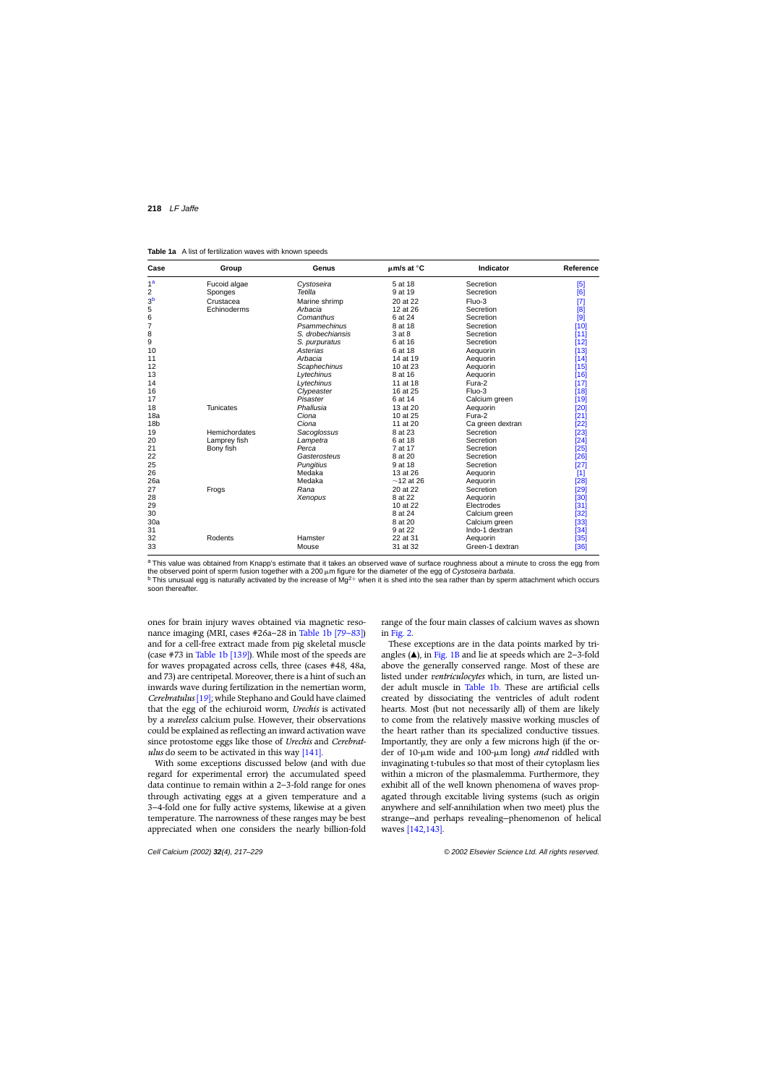<span id="page-1-0"></span>**Table 1a** A list of fertilization waves with known speeds

| Case            | Group            | Genus            | $\mu$ m/s at $^{\circ}$ C | Indicator        | Reference |
|-----------------|------------------|------------------|---------------------------|------------------|-----------|
| 1 <sup>a</sup>  | Fucoid algae     | Cystoseira       | 5 at 18                   | Secretion        | [5]       |
| 2               | Sponges          | Tetilla          | 9 at 19                   | Secretion        | [6]       |
| 3 <sup>b</sup>  | Crustacea        | Marine shrimp    | 20 at 22                  | Fluo-3           | [7]       |
| 5               | Echinoderms      | Arbacia          | 12 at 26                  | Secretion        | [8]       |
| 6               |                  | Comanthus        | 6 at 24                   | Secretion        | [9]       |
| 7               |                  | Psammechinus     | 8 at 18                   | Secretion        | [10]      |
| 8               |                  | S. drobechiansis | 3 at 8                    | Secretion        | [11]      |
| 9               |                  | S. purpuratus    | 6 at 16                   | Secretion        | [12]      |
| 10              |                  | Asterias         | 6 at 18                   | Aequorin         | [13]      |
| 11              |                  | Arbacia          | 14 at 19                  | Aequorin         | $[14]$    |
| 12              |                  | Scaphechinus     | 10 at 23                  | Aequorin         | [15]      |
| 13              |                  | Lytechinus       | 8 at 16                   | Aequorin         | [16]      |
| 14              |                  | Lytechinus       | 11 at 18                  | Fura-2           | $[17]$    |
| 16              |                  | Clypeaster       | 16 at 25                  | Fluo-3           | [18]      |
| 17              |                  | Pisaster         | 6 at 14                   | Calcium green    | [19]      |
| 18              | <b>Tunicates</b> | Phallusia        | 13 at 20                  | Aequorin         | [20]      |
| 18a             |                  | Ciona            | 10 at 25                  | Fura-2           | [21]      |
| 18 <sub>b</sub> |                  | Ciona            | 11 at 20                  | Ca green dextran | [22]      |
| 19              | Hemichordates    | Sacoglossus      | 8 at 23                   | Secretion        | [23]      |
| 20              | Lamprey fish     | Lampetra         | 6 at 18                   | Secretion        | [24]      |
| 21              | Bony fish        | Perca            | 7 at 17                   | Secretion        | $[25]$    |
| 22              |                  | Gasterosteus     | 8 at 20                   | Secretion        | [26]      |
| 25              |                  | <b>Pungitius</b> | 9 at 18                   | Secretion        | [27]      |
| 26              |                  | Medaka           | 13 at 26                  | Aequorin         | $[1]$     |
| 26a             |                  | Medaka           | $\sim$ 12 at 26           | Aequorin         | [28]      |
| 27              | Frogs            | Rana             | 20 at 22                  | Secretion        | [29]      |
| 28              |                  | Xenopus          | 8 at 22                   | Aequorin         | [30]      |
| 29              |                  |                  | 10 at 22                  | Electrodes       | [31]      |
| 30              |                  |                  | 8 at 24                   | Calcium green    | [32]      |
| 30a             |                  |                  | 8 at 20                   | Calcium green    | [33]      |
| 31              |                  |                  | 9 at 22                   | Indo-1 dextran   | [34]      |
| 32              | Rodents          | Hamster          | 22 at 31                  | Aequorin         | $[35]$    |
| 33              |                  | Mouse            | 31 at 32                  | Green-1 dextran  | [36]      |

a This value was obtained from Knapp's estimate that it takes an observed wave of surface roughness about a minute to cross the egg from the observed point of sperm fusion together with a 200  $\mu$ m figure for the diameter of the egg of Cystoseira barbata.  $<sup>b</sup>$  This unusual egg is naturally activated by the increase of Mg<sup>2+</sup> when it is shed into the sea rather than by sperm attachment which occurs</sup> soon thereafter.

ones for brain injury waves obtained via magnetic resonance imaging (MRI, cases #26a–28 in [Table 1b](#page-2-0) [\[79–83\]\)](#page-10-0) and for a cell-free extract made from pig skeletal muscle (case  $\#73$  in [Table 1b](#page-2-0) [\[139\]\).](#page-12-0) While most of the speeds are for waves propagated across cells, three (cases #48, 48a, and 73) are centripetal. Moreover, there is a hint of such an inwards wave during fertilization in the nemertian worm, *Cerebratulus* [\[19\]; w](#page-8-0)hile Stephano and Gould have claimed that the egg of the echiuroid worm, *Urechis* is activated by a *waveless* calcium pulse. However, their observations could be explained as reflecting an inward activation wave since protostome eggs like those of *Urechis* and *Cerebratulus* do seem to be activated in this way [\[141\].](#page-12-0)

With some exceptions discussed below (and with due regard for experimental error) the accumulated speed data continue to remain within a 2–3-fold range for ones through activating eggs at a given temperature and a 3–4-fold one for fully active systems, likewise at a given temperature. The narrowness of these ranges may be best appreciated when one considers the nearly billion-fold range of the four main classes of calcium waves as shown in [Fig. 2.](#page-8-0)

These exceptions are in the data points marked by triangles  $(\triangle)$ , in [Fig. 1B](#page-5-0) and lie at speeds which are 2–3-fold above the generally conserved range. Most of these are listed under *ventriculocytes* which, in turn, are listed under adult muscle in [Table 1b.](#page-2-0) These are artificial cells created by dissociating the ventricles of adult rodent hearts. Most (but not necessarily all) of them are likely to come from the relatively massive working muscles of the heart rather than its specialized conductive tissues. Importantly, they are only a few microns high (if the order of 10-m wide and 100-m long) *and* riddled with invaginating t-tubules so that most of their cytoplasm lies within a micron of the plasmalemma. Furthermore, they exhibit all of the well known phenomena of waves propagated through excitable living systems (such as origin anywhere and self-annihilation when two meet) plus the strange—and perhaps revealing—phenomenon of helical waves [\[142,143\].](#page-12-0)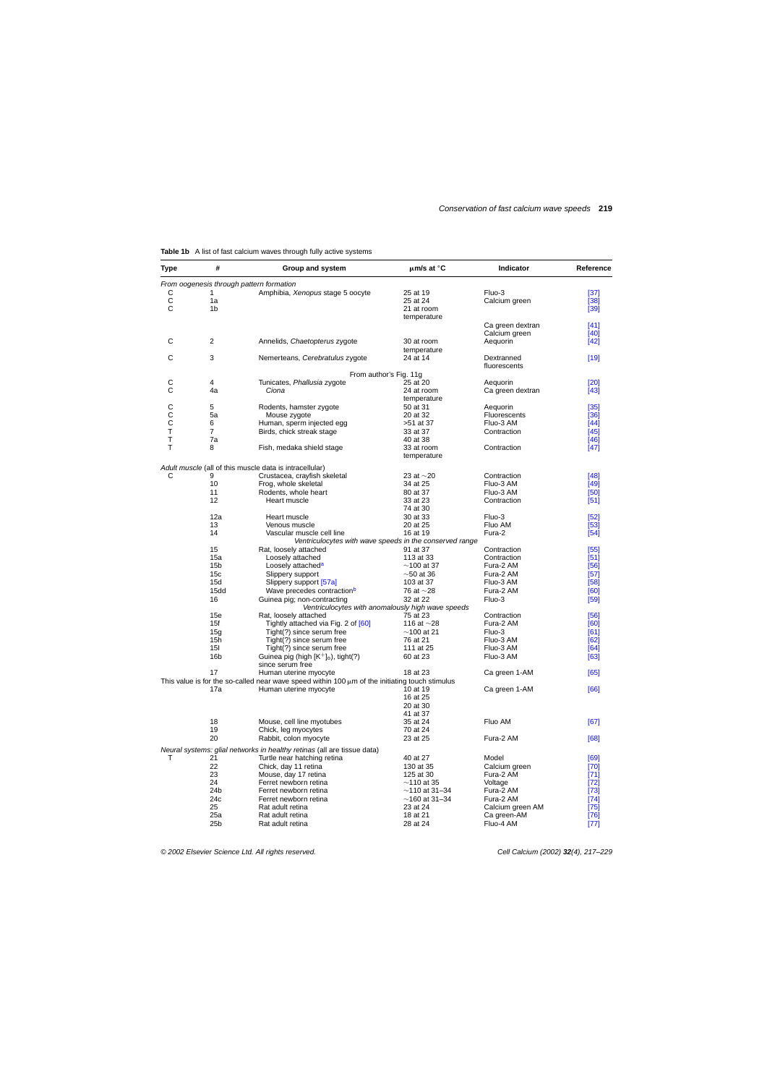| <b>Type</b>  | #               | Group and system                                                                                    | µm/s at °C                                        | Indicator        | Reference |
|--------------|-----------------|-----------------------------------------------------------------------------------------------------|---------------------------------------------------|------------------|-----------|
|              |                 | From oogenesis through pattern formation                                                            |                                                   |                  |           |
| С            | 1               | Amphibia, Xenopus stage 5 oocyte                                                                    | 25 at 19                                          | Fluo-3           | $[37]$    |
| $\mathsf{C}$ | 1a              |                                                                                                     | 25 at 24                                          | Calcium green    | $[38]$    |
| $\mathsf C$  | 1 <sub>b</sub>  |                                                                                                     | 21 at room                                        |                  | [39]      |
|              |                 |                                                                                                     | temperature                                       |                  |           |
|              |                 |                                                                                                     |                                                   | Ca green dextran | [41]      |
|              |                 |                                                                                                     |                                                   | Calcium green    | [40]      |
| C            | 2               | Annelids, Chaetopterus zygote                                                                       | 30 at room                                        | Aequorin         | $[42]$    |
|              |                 |                                                                                                     | temperature                                       |                  |           |
| С            | 3               | Nemerteans, Cerebratulus zygote                                                                     | 24 at 14                                          | Dextranned       | $[19]$    |
|              |                 |                                                                                                     |                                                   | fluorescents     |           |
|              |                 |                                                                                                     | From author's Fig. 11g                            |                  |           |
|              |                 |                                                                                                     |                                                   |                  |           |
| C            | 4               | Tunicates, Phallusia zygote                                                                         | 25 at 20                                          | Aequorin         | [20]      |
| С            | 4a              | Ciona                                                                                               | 24 at room                                        | Ca green dextran | $[43]$    |
|              |                 |                                                                                                     | temperature                                       |                  |           |
| C            | 5               | Rodents, hamster zygote                                                                             | 50 at 31                                          | Aequorin         | $[35]$    |
| $\mathsf C$  | 5a              | Mouse zygote                                                                                        | 20 at 32                                          | Fluorescents     | [36]      |
| C            | 6               | Human, sperm injected egg                                                                           | >51 at 37                                         | Fluo-3 AM        | $[44]$    |
| Τ            | 7               | Birds, chick streak stage                                                                           | 33 at 37                                          | Contraction      | $[45]$    |
| Т            | 7a              |                                                                                                     | 40 at 38                                          |                  | $[46]$    |
| T            | 8               | Fish, medaka shield stage                                                                           | 33 at room                                        | Contraction      | $[47]$    |
|              |                 |                                                                                                     | temperature                                       |                  |           |
|              |                 |                                                                                                     |                                                   |                  |           |
|              |                 | Adult muscle (all of this muscle data is intracellular)                                             |                                                   |                  |           |
| С            | 9               | Crustacea, crayfish skeletal                                                                        | 23 at $\sim$ 20                                   | Contraction      | [48]      |
|              | 10              | Frog, whole skeletal                                                                                | 34 at 25                                          | Fluo-3 AM        | $[49]$    |
|              | 11              | Rodents, whole heart                                                                                | 80 at 37                                          | Fluo-3 AM        | $[50]$    |
|              | 12              | Heart muscle                                                                                        | 33 at 23                                          | Contraction      | $[51]$    |
|              |                 |                                                                                                     | 74 at 30                                          |                  |           |
|              |                 | Heart muscle                                                                                        |                                                   |                  |           |
|              | 12a             |                                                                                                     | 30 at 33                                          | Fluo-3           | $[52]$    |
|              | 13              | Venous muscle                                                                                       | 20 at 25                                          | Fluo AM          | $[53]$    |
|              | 14              | Vascular muscle cell line                                                                           | 16 at 19                                          | Fura-2           | $[54]$    |
|              |                 | Ventriculocytes with wave speeds in the conserved range                                             |                                                   |                  |           |
|              | 15              | Rat, loosely attached                                                                               | 91 at 37                                          | Contraction      | $[55]$    |
|              | 15a             | Loosely attached                                                                                    | 113 at 33                                         | Contraction      | [51]      |
|              | 15 <sub>b</sub> | Loosely attached <sup>a</sup>                                                                       | $\sim$ 100 at 37                                  | Fura-2 AM        | [56]      |
|              | 15 <sub>c</sub> | Slippery support                                                                                    | $\sim$ 50 at 36                                   | Fura-2 AM        | $[57]$    |
|              | 15d             | Slippery support [57a]                                                                              | 103 at 37                                         | Fluo-3 AM        | [58]      |
|              | 15dd            | Wave precedes contraction <sup>b</sup>                                                              | 76 at $\sim$ 28                                   | Fura-2 AM        | [60]      |
|              |                 |                                                                                                     | 32 at 22                                          |                  |           |
|              | 16              | Guinea pig; non-contracting                                                                         |                                                   | Fluo-3           | $[59]$    |
|              |                 |                                                                                                     | Ventriculocytes with anomalously high wave speeds |                  |           |
|              | 15e             | Rat, loosely attached                                                                               | 75 at 23                                          | Contraction      | [56]      |
|              | 15f             | Tightly attached via Fig. 2 of [60]                                                                 | 116 at $\sim$ 28                                  | Fura-2 AM        | [60]      |
|              | 15g             | Tight(?) since serum free                                                                           | $~100$ at 21                                      | Fluo-3           | [61]      |
|              | 15h             | Tight(?) since serum free                                                                           | 76 at 21                                          | Fluo-3 AM        | [62]      |
|              | 151             | Tight(?) since serum free                                                                           | 111 at 25                                         | Fluo-3 AM        | [64]      |
|              | 16 <sub>b</sub> | Guinea pig (high $[K^+]_0$ ), tight(?)                                                              | 60 at 23                                          | Fluo-3 AM        | [63]      |
|              |                 | since serum free                                                                                    |                                                   |                  |           |
|              | 17              | Human uterine myocyte                                                                               | 18 at 23                                          | Ca green 1-AM    | [65]      |
|              |                 | This value is for the so-called near wave speed within 100 $\mu$ m of the initiating touch stimulus |                                                   |                  |           |
|              | 17a             |                                                                                                     |                                                   |                  |           |
|              |                 | Human uterine myocyte                                                                               | 10 at 19                                          | Ca green 1-AM    | [66]      |
|              |                 |                                                                                                     | 16 at 25                                          |                  |           |
|              |                 |                                                                                                     | 20 at 30                                          |                  |           |
|              |                 |                                                                                                     | 41 at 37                                          |                  |           |
|              | 18              | Mouse, cell line myotubes                                                                           | 35 at 24                                          | Fluo AM          | [67]      |
|              | 19              | Chick, leg myocytes                                                                                 | 70 at 24                                          |                  |           |
|              | 20              | Rabbit, colon myocyte                                                                               | 23 at 25                                          | Fura-2 AM        | [68]      |
|              |                 |                                                                                                     |                                                   |                  |           |
|              |                 | Neural systems: glial networks in healthy retinas (all are tissue data)                             |                                                   |                  |           |
| т            | 21              | Turtle near hatching retina                                                                         | 40 at 27                                          | Model            | [69]      |
|              | 22              | Chick, day 11 retina                                                                                | 130 at 35                                         | Calcium green    | $[70]$    |
|              | 23              | Mouse, day 17 retina                                                                                | 125 at 30                                         | Fura-2 AM        | [71]      |
|              | 24              | Ferret newborn retina                                                                               | $~110$ at 35                                      | Voltage          | $[72]$    |
|              | 24b             | Ferret newborn retina                                                                               | $\sim$ 110 at 31–34                               | Fura-2 AM        | $[73]$    |
|              | 24c             | Ferret newborn retina                                                                               | $~160$ at 31–34                                   | Fura-2 AM        | $[74]$    |
|              | 25              | Rat adult retina                                                                                    | 23 at 24                                          | Calcium green AM | $[75]$    |
|              | 25a             | Rat adult retina                                                                                    | 18 at 21                                          |                  | $[76]$    |
|              |                 |                                                                                                     |                                                   | Ca green-AM      |           |
|              | 25 <sub>b</sub> | Rat adult retina                                                                                    | 28 at 24                                          | Fluo-4 AM        | $[77]$    |

#### <span id="page-2-0"></span>Table 1b A list of fast calcium waves through fully active systems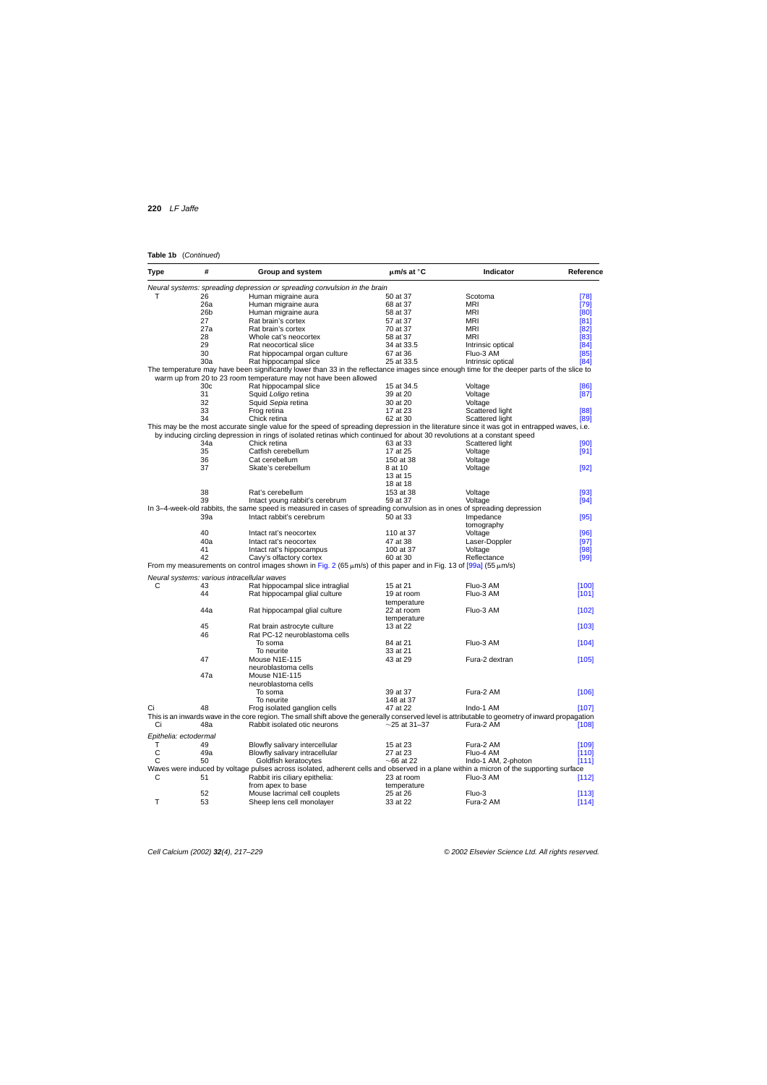#### **Table 1b** (Continued)

| <b>Type</b> | #                     | Group and system                                                                                                                                  | $\mu$ m/s at $\degree$ C | Indicator           | Reference |
|-------------|-----------------------|---------------------------------------------------------------------------------------------------------------------------------------------------|--------------------------|---------------------|-----------|
|             |                       | Neural systems: spreading depression or spreading convulsion in the brain                                                                         |                          |                     |           |
| т           | 26                    | Human migraine aura                                                                                                                               | 50 at 37                 | Scotoma             | $[78]$    |
|             | 26a                   | Human migraine aura                                                                                                                               | 68 at 37                 | MRI                 | $[79]$    |
|             | 26 <sub>b</sub>       | Human migraine aura                                                                                                                               | 58 at 37                 | MRI                 | [80]      |
|             | 27                    | Rat brain's cortex                                                                                                                                | 57 at 37                 | MRI                 | [81]      |
|             | 27a                   | Rat brain's cortex                                                                                                                                | 70 at 37                 | MRI                 | [82]      |
|             | 28                    | Whole cat's neocortex                                                                                                                             | 58 at 37                 | MRI                 | [83]      |
|             | 29                    | Rat neocortical slice                                                                                                                             | 34 at 33.5               | Intrinsic optical   | [84]      |
|             | 30                    | Rat hippocampal organ culture                                                                                                                     | 67 at 36                 | Fluo-3 AM           | [85]      |
|             | 30a                   | Rat hippocampal slice                                                                                                                             | 25 at 33.5               | Intrinsic optical   | [84]      |
|             |                       | The temperature may have been significantly lower than 33 in the reflectance images since enough time for the deeper parts of the slice to        |                          |                     |           |
|             |                       | warm up from 20 to 23 room temperature may not have been allowed                                                                                  |                          |                     |           |
|             | 30 <sub>c</sub>       | Rat hippocampal slice                                                                                                                             |                          |                     |           |
|             |                       |                                                                                                                                                   | 15 at 34.5               | Voltage             | [86]      |
|             | 31                    | Squid Loligo retina                                                                                                                               | 39 at 20                 | Voltage             | [87]      |
|             | 32                    | Squid Sepia retina                                                                                                                                | 30 at 20                 | Voltage             |           |
|             | 33                    | Frog retina                                                                                                                                       | 17 at 23                 | Scattered light     | [88]      |
|             | 34                    | Chick retina                                                                                                                                      | 62 at 30                 | Scattered light     | [89]      |
|             |                       | This may be the most accurate single value for the speed of spreading depression in the literature since it was got in entrapped waves, i.e.      |                          |                     |           |
|             |                       | by inducing circling depression in rings of isolated retinas which continued for about 30 revolutions at a constant speed                         |                          |                     |           |
|             | 34a                   | Chick retina                                                                                                                                      | 63 at 33                 | Scattered light     | [90]      |
|             | 35                    | Catfish cerebellum                                                                                                                                | 17 at 25                 | Voltage             | [91]      |
|             | 36                    | Cat cerebellum                                                                                                                                    | 150 at 38                | Voltage             |           |
|             | 37                    | Skate's cerebellum                                                                                                                                | 8 at 10                  | Voltage             | $[92]$    |
|             |                       |                                                                                                                                                   | 13 at 15                 |                     |           |
|             |                       |                                                                                                                                                   | 18 at 18                 |                     |           |
|             | 38                    | Rat's cerebellum                                                                                                                                  | 153 at 38                | Voltage             | $[93]$    |
|             | 39                    |                                                                                                                                                   |                          | Voltage             |           |
|             |                       | Intact young rabbit's cerebrum                                                                                                                    | 59 at 37                 |                     | $[94]$    |
|             |                       | In 3-4-week-old rabbits, the same speed is measured in cases of spreading convulsion as in ones of spreading depression                           |                          |                     |           |
|             | 39a                   | Intact rabbit's cerebrum                                                                                                                          | 50 at 33                 | Impedance           | $[95]$    |
|             |                       |                                                                                                                                                   |                          | tomography          |           |
|             | 40                    | Intact rat's neocortex                                                                                                                            | 110 at 37                | Voltage             | [96]      |
|             | 40a                   | Intact rat's neocortex                                                                                                                            | 47 at 38                 | Laser-Doppler       | $[97]$    |
|             | 41                    | Intact rat's hippocampus                                                                                                                          | 100 at 37                | Voltage             | [98]      |
|             | 42                    | Cavy's olfactory cortex                                                                                                                           | 60 at 30                 | Reflectance         | [99]      |
|             |                       | From my measurements on control images shown in Fig. 2 (65 $\mu$ m/s) of this paper and in Fig. 13 of [99a] (55 $\mu$ m/s)                        |                          |                     |           |
|             |                       | Neural systems: various intracellular waves                                                                                                       |                          |                     |           |
|             |                       |                                                                                                                                                   |                          |                     |           |
| С           | 43                    | Rat hippocampal slice intraglial                                                                                                                  | 15 at 21                 | Fluo-3 AM           | [100]     |
|             | 44                    | Rat hippocampal glial culture                                                                                                                     | 19 at room               | Fluo-3 AM           | [101]     |
|             |                       |                                                                                                                                                   | temperature              |                     |           |
|             | 44a                   | Rat hippocampal glial culture                                                                                                                     | 22 at room               | Fluo-3 AM           | [102]     |
|             |                       |                                                                                                                                                   | temperature              |                     |           |
|             | 45                    | Rat brain astrocyte culture                                                                                                                       | 13 at 22                 |                     | [103]     |
|             | 46                    | Rat PC-12 neuroblastoma cells                                                                                                                     |                          |                     |           |
|             |                       | To soma                                                                                                                                           | 84 at 21                 | Fluo-3 AM           | [104]     |
|             |                       | To neurite                                                                                                                                        | 33 at 21                 |                     |           |
|             | 47                    | Mouse N1E-115                                                                                                                                     | 43 at 29                 | Fura-2 dextran      | [105]     |
|             |                       | neuroblastoma cells                                                                                                                               |                          |                     |           |
|             | 47a                   | Mouse N1E-115                                                                                                                                     |                          |                     |           |
|             |                       | neuroblastoma cells                                                                                                                               |                          |                     |           |
|             |                       | To soma                                                                                                                                           | 39 at 37                 | Fura-2 AM           | [106]     |
|             |                       |                                                                                                                                                   |                          |                     |           |
|             |                       | To neurite                                                                                                                                        | 148 at 37                |                     |           |
| Ci          | 48                    | Frog isolated ganglion cells                                                                                                                      | 47 at 22                 | Indo-1 AM           | [107]     |
|             |                       | This is an inwards wave in the core region. The small shift above the generally conserved level is attributable to geometry of inward propagation |                          |                     |           |
| Ci          | 48a                   | Rabbit isolated otic neurons                                                                                                                      | $\sim$ 25 at 31–37       | Fura-2 AM           | [108]     |
|             | Epithelia: ectodermal |                                                                                                                                                   |                          |                     |           |
|             | 49                    | Blowfly salivary intercellular                                                                                                                    | 15 at 23                 | Fura-2 AM           | [109]     |
|             | 49a                   | Blowfly salivary intracellular                                                                                                                    | 27 at 23                 | Fluo-4 AM           |           |
| С           |                       |                                                                                                                                                   |                          |                     | [110]     |
| С           | 50                    | Goldfish keratocytes                                                                                                                              | $\sim$ 66 at 22          | Indo-1 AM, 2-photon | [111]     |
|             |                       | Waves were induced by voltage pulses across isolated, adherent cells and observed in a plane within a micron of the supporting surface            |                          |                     |           |
| С           | 51                    | Rabbit iris ciliary epithelia:                                                                                                                    | 23 at room               | Fluo-3 AM           | [112]     |
|             |                       | from apex to base                                                                                                                                 | temperature              |                     |           |
|             | 52                    | Mouse lacrimal cell couplets                                                                                                                      | 25 at 26                 | Fluo-3              | [113]     |
| т           | 53                    | Sheep lens cell monolayer                                                                                                                         | 33 at 22                 | Fura-2 AM           | [114]     |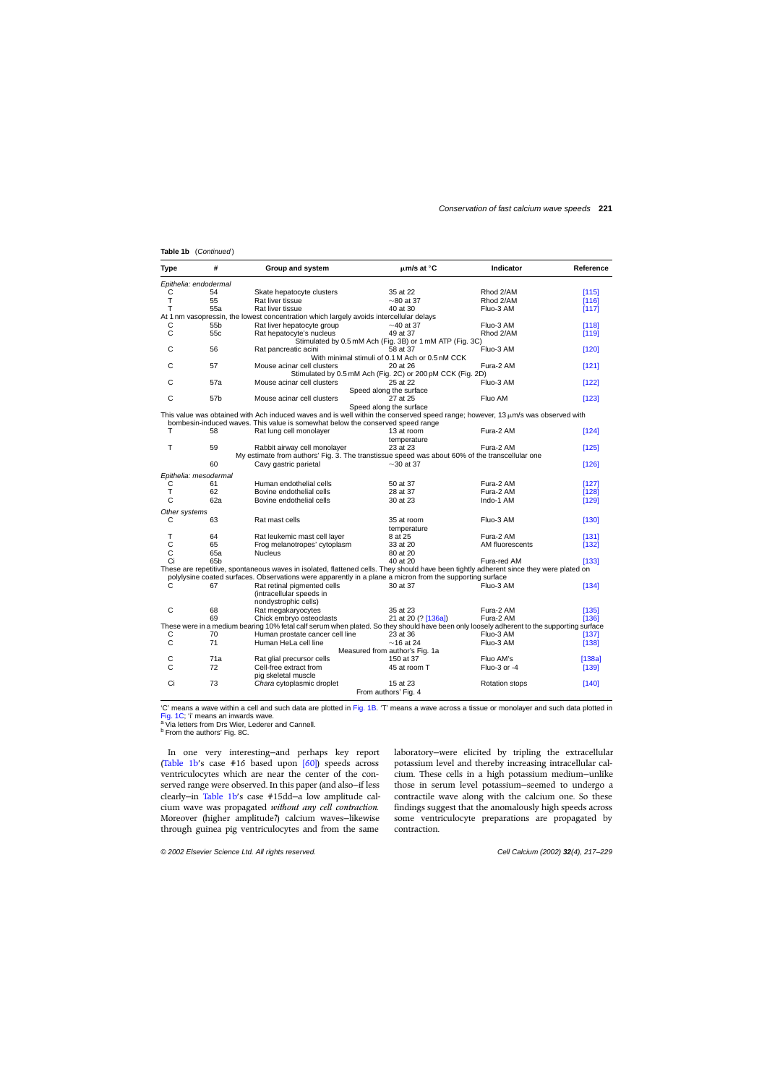<span id="page-4-0"></span>Table 1b (Continued)

| Type               | #                     | Group and system                                                                                                                          | $\mu$ m/s at °C                                            | <b>Indicator</b>      | Reference |
|--------------------|-----------------------|-------------------------------------------------------------------------------------------------------------------------------------------|------------------------------------------------------------|-----------------------|-----------|
|                    | Epithelia: endodermal |                                                                                                                                           |                                                            |                       |           |
| С                  | 54                    | Skate hepatocyte clusters                                                                                                                 | 35 at 22                                                   | Rhod 2/AM             | [115]     |
| T                  | 55                    | Rat liver tissue                                                                                                                          | $\sim$ 80 at 37                                            | Rhod 2/AM             | [116]     |
| Т                  | 55a                   | Rat liver tissue                                                                                                                          | 40 at 30                                                   | Fluo-3 AM             | [117]     |
|                    |                       | At 1 nm vasopressin, the lowest concentration which largely avoids intercellular delays                                                   |                                                            |                       |           |
| С                  | 55 <sub>b</sub>       | Rat liver hepatocyte group                                                                                                                | $\sim$ 40 at 37                                            | Fluo-3 AM             | [118]     |
| C                  | 55 <sub>c</sub>       | Rat hepatocyte's nucleus                                                                                                                  | 49 at 37                                                   | Rhod 2/AM             | [119]     |
|                    |                       |                                                                                                                                           | Stimulated by 0.5 mM Ach (Fig. 3B) or 1 mM ATP (Fig. 3C)   |                       |           |
| С                  | 56                    | Rat pancreatic acini                                                                                                                      | 58 at 37                                                   | Fluo-3 AM             | [120]     |
|                    |                       |                                                                                                                                           | With minimal stimuli of 0.1 M Ach or 0.5 nM CCK            |                       |           |
| C                  | 57                    | Mouse acinar cell clusters                                                                                                                | 20 at 26                                                   | Fura-2 AM             | [121]     |
|                    |                       |                                                                                                                                           | Stimulated by 0.5 mM Ach (Fig. 2C) or 200 pM CCK (Fig. 2D) |                       |           |
| С                  | 57a                   | Mouse acinar cell clusters                                                                                                                | 25 at 22                                                   | Fluo-3 AM             | [122]     |
|                    |                       |                                                                                                                                           | Speed along the surface                                    |                       |           |
| C                  | 57b                   | Mouse acinar cell clusters                                                                                                                | 27 at 25                                                   | Fluo AM               | [123]     |
|                    |                       |                                                                                                                                           | Speed along the surface                                    |                       |           |
|                    |                       | This value was obtained with Ach induced waves and is well within the conserved speed range; however, 13 $\mu$ m/s was observed with      |                                                            |                       |           |
|                    |                       | bombesin-induced waves. This value is somewhat below the conserved speed range                                                            |                                                            |                       |           |
| т                  | 58                    | Rat lung cell monolayer                                                                                                                   | 13 at room                                                 | Fura-2 AM             | [124]     |
|                    |                       |                                                                                                                                           | temperature                                                |                       |           |
| т                  | 59                    | Rabbit airway cell monolayer                                                                                                              | 23 at 23                                                   | Fura-2 AM             | [125]     |
|                    |                       | My estimate from authors' Fig. 3. The transtissue speed was about 60% of the transcellular one                                            |                                                            |                       |           |
|                    | 60                    | Cavy gastric parietal                                                                                                                     | $\sim$ 30 at 37                                            |                       | [126]     |
|                    |                       |                                                                                                                                           |                                                            |                       |           |
|                    | Epithelia: mesodermal |                                                                                                                                           |                                                            |                       |           |
| С                  | 61                    | Human endothelial cells                                                                                                                   | 50 at 37                                                   | Fura-2 AM             | [127]     |
| T                  | 62                    | Bovine endothelial cells                                                                                                                  | 28 at 37                                                   | Fura-2 AM             | [128]     |
| C                  | 62a                   | Bovine endothelial cells                                                                                                                  | 30 at 23                                                   | Indo-1 AM             | [129]     |
|                    |                       |                                                                                                                                           |                                                            |                       |           |
| Other systems<br>С | 63                    | Rat mast cells                                                                                                                            | 35 at room                                                 | Fluo-3 AM             |           |
|                    |                       |                                                                                                                                           |                                                            |                       | [130]     |
|                    |                       |                                                                                                                                           | temperature                                                |                       |           |
| T                  | 64                    | Rat leukemic mast cell layer                                                                                                              | 8 at 25                                                    | Fura-2 AM             | [131]     |
| С                  | 65                    | Frog melanotropes' cytoplasm                                                                                                              | 33 at 20                                                   | AM fluorescents       | [132]     |
| С                  | 65a                   | <b>Nucleus</b>                                                                                                                            | 80 at 20                                                   |                       |           |
| Ci                 | 65b                   |                                                                                                                                           | 40 at 20                                                   | Fura-red AM           | [133]     |
|                    |                       | These are repetitive, spontaneous waves in isolated, flattened cells. They should have been tightly adherent since they were plated on    |                                                            |                       |           |
|                    |                       | polylysine coated surfaces. Observations were apparently in a plane a micron from the supporting surface                                  |                                                            |                       |           |
| С                  | 67                    | Rat retinal pigmented cells                                                                                                               | 30 at 37                                                   | Fluo-3 AM             | [134]     |
|                    |                       | (intracellular speeds in                                                                                                                  |                                                            |                       |           |
|                    |                       | nondystrophic cells)                                                                                                                      |                                                            |                       |           |
| С                  | 68                    | Rat megakaryocytes                                                                                                                        | 35 at 23                                                   | Fura-2 AM             | [135]     |
|                    | 69                    | Chick embryo osteoclasts                                                                                                                  | 21 at 20 (? [136a])                                        | Fura-2 AM             | [136]     |
|                    |                       | These were in a medium bearing 10% fetal calf serum when plated. So they should have been only loosely adherent to the supporting surface |                                                            |                       |           |
| С                  | 70                    | Human prostate cancer cell line                                                                                                           | 23 at 36                                                   | Fluo-3 AM             | [137]     |
| C                  | 71                    | Human HeLa cell line                                                                                                                      | $\sim$ 16 at 24                                            | Fluo-3 AM             | [138]     |
|                    |                       |                                                                                                                                           | Measured from author's Fig. 1a                             |                       |           |
| С                  | 71a                   | Rat glial precursor cells                                                                                                                 | 150 at 37                                                  | Fluo AM's             | [138a]    |
| C                  | 72                    | Cell-free extract from                                                                                                                    | 45 at room T                                               | Fluo-3 or -4          | [139]     |
|                    |                       | pig skeletal muscle                                                                                                                       |                                                            |                       |           |
| Ci                 | 73                    | Chara cytoplasmic droplet                                                                                                                 | 15 at 23                                                   | <b>Rotation stops</b> | [140]     |
|                    |                       |                                                                                                                                           | From authors' Fig. 4                                       |                       |           |
|                    |                       |                                                                                                                                           |                                                            |                       |           |

'C' means a wave within a cell and such data are plotted in [Fig. 1B. '](#page-5-0)T' means a wave across a tissue or monolayer and such data plotted in [Fig. 1C; '](#page-5-0)i' means an inwards wave.<br>a Via letters from Drs Wier, Lederer and Cannell.

b From the authors' Fig. 8C.

In one very interesting—and perhaps key report [\(Table 1b'](#page-2-0)s case #16 based upon [\[60\]\)](#page-10-0) speeds across ventriculocytes which are near the center of the conserved range were observed. In this paper (and also—if less clearly—in [Table 1b'](#page-2-0)s case #15dd—a low amplitude calcium wave was propagated *without any cell contraction*. Moreover (higher amplitude?) calcium waves—likewise through guinea pig ventriculocytes and from the same

laboratory—were elicited by tripling the extracellular potassium level and thereby increasing intracellular calcium. These cells in a high potassium medium—unlike those in serum level potassium—seemed to undergo a contractile wave along with the calcium one. So these findings suggest that the anomalously high speeds across some ventriculocyte preparations are propagated by contraction.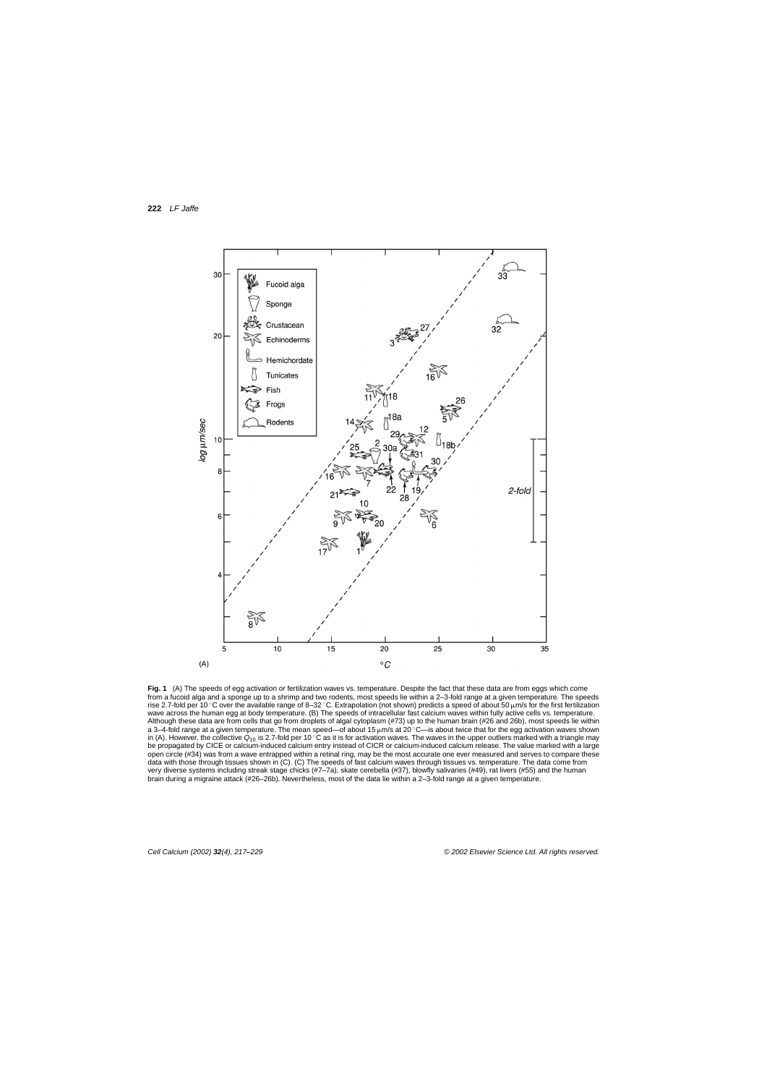<span id="page-5-0"></span>

**Fig. 1** (A) The speeds of egg activation or fertilization waves vs. temperature. Despite the fact that these data are from eggs which come from a fucoid alga and a sponge up to a shrimp and two rodents, most speeds lie within a 2–3-fold range at a given temperature. The speeds rise 2.7-fold per 10 ℃ over the available range of 8–32 ℃. Extrapolation (not shown) predicts a speed of about 50 µm/s for the first fertilization wave across the human egg at body temperature. (B) The speeds of intracellular fast calcium waves within fully active cells vs. temperature. Although these data are from cells that go from droplets of algal cytoplasm (#73) up to the human brain (#26 and 26b), most speeds lie within a 3–4-fold range at a given temperature. The mean speed—of about 15  $\mu$ m/s at 20 °C—is about twice that for the egg activation waves shown in (A). However, the collective  $Q_{10}$  is 2.7-fold per 10 °C as it is for activation waves. The waves in the upper outliers marked with a triangle may be propagated by CICE or calcium-induced calcium entry instead of CICR or calcium-induced calcium release. The value marked with a large open circle (#34) was from a wave entrapped within a retinal ring, may be the most accurate one ever measured and serves to compare these data with those through tissues shown in (C). (C) The speeds of fast calcium waves through tissues vs. temperature. The data come from very diverse systems including streak stage chicks (#7–7a), skate cerebella (#37), blowfly salivaries (#49), rat livers (#55) and the human brain during a migraine attack (#26–26b). Nevertheless, most of the data lie within a 2–3-fold range at a given temperature.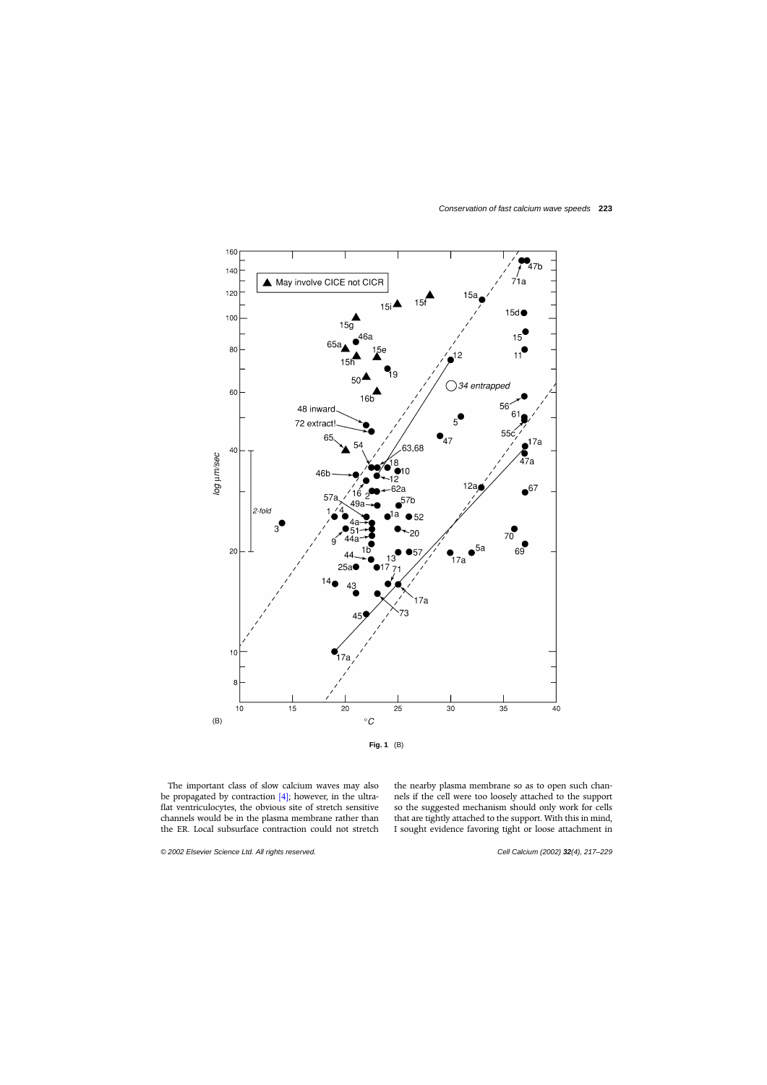

The important class of slow calcium waves may also be propagated by contraction  $[4]$ ; however, in the ultraflat ventriculocytes, the obvious site of stretch sensitive channels would be in the plasma membrane rather than the ER. Local subsurface contraction could not stretch

the nearby plasma membrane so as to open such channels if the cell were too loosely attached to the support so the suggested mechanism should only work for cells that are tightly attached to the support. With this in mind, I sought evidence favoring tight or loose attachment in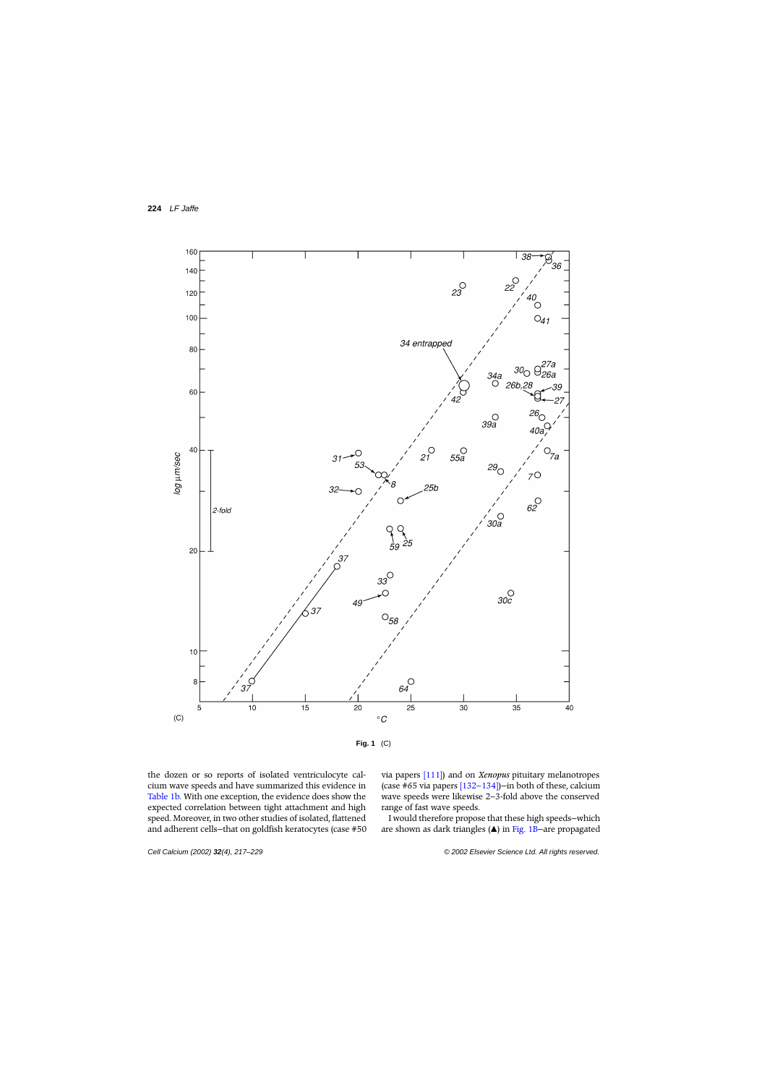

the dozen or so reports of isolated ventriculocyte calcium wave speeds and have summarized this evidence in [Table 1b. W](#page-2-0)ith one exception, the evidence does show the expected correlation between tight attachment and high speed. Moreover, in two other studies of isolated, flattened and adherent cells—that on goldfish keratocytes (case #50 via papers [\[111\]\)](#page-11-0) and on *Xenopus* pituitary melanotropes (case #65 via papers [\[132–134\]\)—](#page-11-0)in both of these, calcium wave speeds were likewise 2–3-fold above the conserved range of fast wave speeds.

I would therefore propose that these high speeds—which are shown as dark triangles  $(\triangle)$  in Fig. 1B-are propagated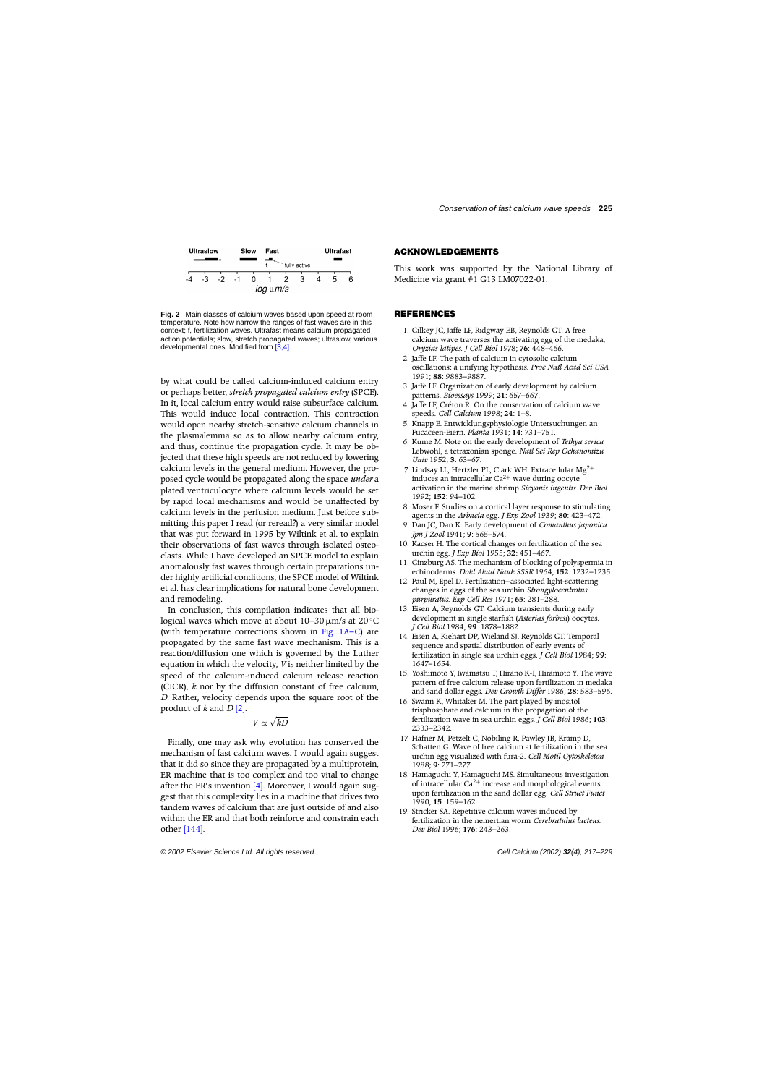

<span id="page-8-0"></span>

**Fig. 2** Main classes of calcium waves based upon speed at room temperature. Note how narrow the ranges of fast waves are in this context; f, fertilization waves. Ultrafast means calcium propagated action potentials; slow, stretch propagated waves; ultraslow, various developmental ones. Modified from [3,4].

by what could be called calcium-induced calcium entry or perhaps better, *stretch propagated calcium entry* (SPCE). In it, local calcium entry would raise subsurface calcium. This would induce local contraction. This contraction would open nearby stretch-sensitive calcium channels in the plasmalemma so as to allow nearby calcium entry, and thus, continue the propagation cycle. It may be objected that these high speeds are not reduced by lowering calcium levels in the general medium. However, the proposed cycle would be propagated along the space *under* a plated ventriculocyte where calcium levels would be set by rapid local mechanisms and would be unaffected by calcium levels in the perfusion medium. Just before submitting this paper I read (or reread?) a very similar model that was put forward in 1995 by Wiltink et al. to explain their observations of fast waves through isolated osteoclasts. While I have developed an SPCE model to explain anomalously fast waves through certain preparations under highly artificial conditions, the SPCE model of Wiltink et al. has clear implications for natural bone development and remodeling.

In conclusion, this compilation indicates that all biological waves which move at about  $10-30 \mu m/s$  at  $20 °C$ (with temperature corrections shown in [Fig. 1A–C\)](#page-5-0) are propagated by the same fast wave mechanism. This is a reaction/diffusion one which is governed by the Luther equation in which the velocity, *V* is neither limited by the speed of the calcium-induced calcium release reaction (CICR), *k* nor by the diffusion constant of free calcium, *D*. Rather, velocity depends upon the square root of the product of *k* and *D* [2].

## $V \propto \sqrt{kD}$

Finally, one may ask why evolution has conserved the mechanism of fast calcium waves. I would again suggest that it did so since they are propagated by a multiprotein, ER machine that is too complex and too vital to change after the ER's invention  $[4]$ . Moreover, I would again suggest that this complexity lies in a machine that drives two tandem waves of calcium that are just outside of and also within the ER and that both reinforce and constrain each other [\[144\].](#page-12-0)

#### **ACKNOWLEDGEMENTS**

This work was supported by the National Library of Medicine via grant #1 G13LM07022-01.

#### **REFERENCES**

- 1. Gilkey JC, Jaffe LF, Ridgway EB, Reynolds GT. A free calcium wave traverses the activating egg of the medaka, *Oryzias latipes*. *J Cell Biol* 1978; **76**: 448–466.
- 2. Jaffe LF. The path of calcium in cytosolic calcium oscillations: a unifying hypothesis. *Proc Natl Acad Sci USA* 1991; **88**: 9883–9887.
- 3. Jaffe LF. Organization of early development by calcium patterns. *Bioessays* 1999; **21**: 657–667.
- 4. Jaffe LF, Créton R. On the conservation of calcium wave speeds. *Cell Calcium* 1998; **24**: 1–8.
- 5. Knapp E. Entwicklungsphysiologie Untersuchungen an Fucaceen-Eiern. *Planta* 1931; **14**: 731–751.
- 6. Kume M. Note on the early development of *Tethya serica* Lebwohl, a tetraxonian sponge. *Natl Sci Rep Ochanomizu Univ* 1952; **3**: 63–67.
- 7. Lindsay LL, Hertzler PL, Clark WH. Extracellular Mg2<sup>+</sup> induces an intracellular  $Ca^{2+}$  wave during oocyte activation in the marine shrimp *Sicyonis ingentis*. *Dev Biol* 1992; **152**: 94–102.
- 8. Moser F. Studies on a cortical layer response to stimulating agents in the *Arbacia* egg. *J Exp Zool* 1939; **80**: 423–472.
- 9. Dan JC, Dan K. Early development of *Comanthus japonica*. *Jpn J Zool* 1941; **9**: 565–574.
- 10. Kacser H. The cortical changes on fertilization of the sea urchin egg. *J Exp Biol* 1955; **32**: 451–467.
- 11. Ginzburg AS. The mechanism of blocking of polyspermia in echinoderms. *Dokl Akad Nauk SSSR* 1964; **152**: 1232–1235.
- 12. Paul M, Epel D. Fertilization—associated light-scattering changes in eggs of the sea urchin *Strongylocentrotus purpuratus*. *Exp Cell Res* 1971; **65**: 281–288.
- 13. Eisen A, Reynolds GT. Calcium transients during early development in single starfish (*Asterias forbesi*) oocytes. *J Cell Biol* 1984; **99**: 1878–1882.
- 14. Eisen A, Kiehart DP, Wieland SJ, Reynolds GT. Temporal sequence and spatial distribution of early events of fertilization in single sea urchin eggs. *J Cell Biol* 1984; **99**: 1647–1654.
- 15. Yoshimoto Y, Iwamatsu T, Hirano K-I, Hiramoto Y. The wave pattern of free calcium release upon fertilization in medaka and sand dollar eggs. *Dev Growth Differ* 1986; **28**: 583–596.
- 16. Swann K, Whitaker M. The part played by inositol trisphosphate and calcium in the propagation of the fertilization wave in sea urchin eggs. *J Cell Biol* 1986; **103**: 2333–2342.
- 17. Hafner M, Petzelt C, Nobiling R, Pawley JB, Kramp D, Schatten G. Wave of free calcium at fertilization in the sea urchin egg visualized with fura-2. *Cell Motil Cytoskeleton* 1988; **9**: 271–277.
- 18. Hamaguchi Y, Hamaguchi MS. Simultaneous investigation of intracellular  $Ca^{2+}$  increase and morphological events upon fertilization in the sand dollar egg. *Cell Struct Funct* 1990; **15**: 159–162.
- 19. Stricker SA. Repetitive calcium waves induced by fertilization in the nemertian worm *Cerebratulus lacteus*. *Dev Biol* 1996; **176**: 243–263.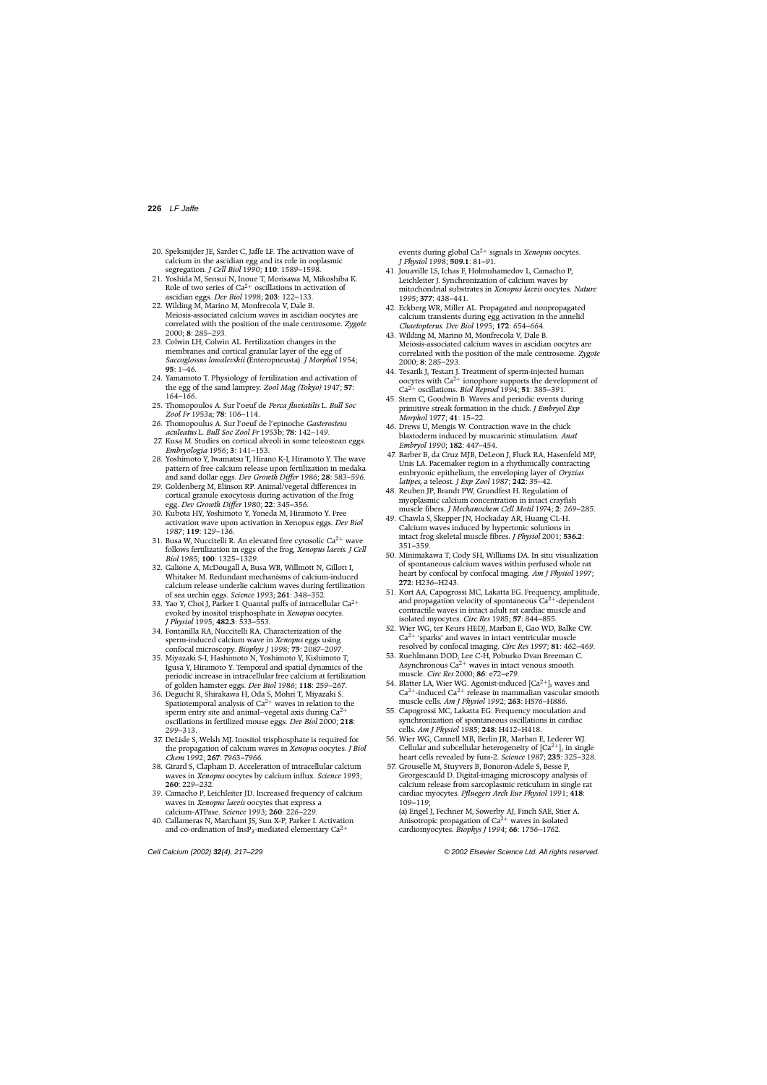- <span id="page-9-0"></span>20. Speksnijder JE, Sardet C, Jaffe LF. The activation wave of calcium in the ascidian egg and its role in ooplasmic segregation. *J Cell Biol* 1990; **110**: 1589–1598.
- 21. Yoshida M, Sensui N, Inoue T, Morisawa M, Mikoshiba K. Role of two series of  $Ca^{2+}$  oscillations in activation of ascidian eggs. *Dev Biol* 1998; **203**: 122–133.
- 22. Wilding M, Marino M, Monfrecola V, Dale B. Meiosis-associated calcium waves in ascidian oocytes are correlated with the position of the male centrosome. *Zygote* 2000; **8**: 285–293.
- 23. Colwin LH, Colwin AL. Fertilization changes in the membranes and cortical granular layer of the egg of *Saccoglossus lowalevskii* (Enteropneusta). *J Morphol* 1954; **95**: 1–46.
- 24. Yamamoto T. Physiology of fertilization and activation of the egg of the sand lamprey. *Zool Mag (Tokyo)* 1947; **57**: 164–166.
- 25. Thomopoulos A. Sur l'oeuf de *Perca fluviatilis* L. *Bull Soc Zool Fr* 1953a; **78**: 106–114.
- 26. Thomopoulus A. Sur l'oeuf de l'epinoche *Gasterosteus aculeatus* L. *Bull Soc Zool Fr* 1953b; **78**: 142–149.
- 27. Kusa M. Studies on cortical alveoli in some teleostean eggs. *Embryologia* 1956; **3**: 141–153.
- 28. Yoshimoto Y, Iwamatsu T, Hirano K-I, Hiramoto Y. The wave pattern of free calcium release upon fertilization in medaka and sand dollar eggs. *Dev Growth Differ* 1986; **28**: 583–596.
- 29. Goldenberg M, Elinson RP. Animal/vegetal differences in cortical granule exocytosis during activation of the frog egg. *Dev Growth Differ* 1980; **22**: 345–356.
- 30. Kubota HY, Yoshimoto Y, Yoneda M, Hiramoto Y. Free activation wave upon activation in Xenopus eggs. *Dev Biol* 1987; **119**: 129–136.
- 31. Busa W, Nuccitelli R. An elevated free cytosolic  $Ca^{2+}$  wave follows fertilization in eggs of the frog, *Xenopus laevis*. *J Cell Biol* 1985; **100**: 1325–1329.
- 32. Galione A, McDougall A, Busa WB, Willmott N, Gillott I, Whitaker M. Redundant mechanisms of calcium-induced calcium release underlie calcium waves during fertilization of sea urchin eggs. *Science* 1993; **261**: 348–352.
- 33. Yao Y, Choi J, Parker I. Quantal puffs of intracellular  $Ca^{2+}$ evoked by inositol trisphosphate in *Xenopus* oocytes. *J Physiol* 1995; **482.3**: 533–553.
- 34. Fontanilla RA, Nuccitelli RA. Characterization of the sperm-induced calcium wave in *Xenopus* eggs using confocal microscopy. *Biophys J* 1998; **75**: 2087–2097.
- 35. Miyazaki S-I, Hashimoto N, Yoshimoto Y, Kishimoto T, Igusa Y, Hiramoto Y. Temporal and spatial dynamics of the periodic increase in intracellular free calcium at fertilization of golden hamster eggs. *Dev Biol* 1986; **118**: 259–267.
- 36. Deguchi R, Shirakawa H, Oda S, Mohri T, Miyazaki S. Spatiotemporal analysis of  $Ca^{2+}$  waves in relation to the sperm entry site and animal–vegetal axis during  $Ca^{2+}$ oscillations in fertilized mouse eggs. *Dev Biol* 2000; **218**: 299–313.
- 37. DeLisle S, Welsh MJ. Inositol trisphosphate is required for the propagation of calcium waves in *Xenopus* oocytes. *J Biol Chem* 1992; **267**: 7963–7966.
- 38. Girard S, Clapham D. Acceleration of intracellular calcium waves in *Xenopus* oocytes by calcium influx. *Science* 1993; **260**: 229–232.
- 39. Camacho P, Leichleiter JD. Increased frequency of calcium waves in *Xenopus laevis* oocytes that express a calcium-ATPase. *Science* 1993; **260**: 226–229.
- 40. Callameras N, Marchant JS, Sun X-P, Parker I. Activation and co-ordination of InsP<sub>3</sub>-mediated elementary  $Ca^{2+}$

events during global Ca2<sup>+</sup> signals in *Xenopus* oocytes. *J Physiol* 1998; **509.1**: 81–91.

- 41. Jouaville LS, Ichas F, Holmuhamedov L, Camacho P, Leichleiter J. Synchronization of calcium waves by mitochondrial substrates in *Xenopus laevis* oocytes. *Nature* 1995; **377**: 438–441.
- 42. Eckberg WR, Miller AL. Propagated and nonpropagated calcium transients during egg activation in the annelid *Chaetopterus*. *Dev Biol* 1995; **172**: 654–664.
- 43. Wilding M, Marino M, Monfrecola V, Dale B. Meiosis-associated calcium waves in ascidian oocytes are correlated with the position of the male centrosome. *Zygote* 2000; **8**: 285–293.
- 44. Tesarik J, Testart J. Treatment of sperm-injected human oocytes with  $Ca^{2+}$  ionophore supports the development of Ca2<sup>+</sup> oscillations. *Biol Reprod* 1994; **51**: 385–391.
- 45. Stern C, Goodwin B. Waves and periodic events during primitive streak formation in the chick. *J Embryol Exp Morphol* 1977; **41**: 15–22.
- 46. Drews U, Mengis W. Contraction wave in the chick blastoderm induced by muscarinic stimulation. *Anat Embryol* 1990; **182**: 447–454.
- 47. Barber B, da Cruz MJB, DeLeon J, Fluck RA, Hasenfeld MP, Unis LA. Pacemaker region in a rhythmically contracting embryonic epithelium, the enveloping layer of *Oryzias latipes*, a teleost. *J Exp Zool* 1987; **242**: 35–42.
- 48. Reuben JP, Brandt PW, Grundfest H. Regulation of myoplasmic calcium concentration in intact crayfish muscle fibers. *J Mechanochem Cell Motil* 1974; **2**: 269–285.
- 49. Chawla S, Skepper JN, Hockaday AR, Huang CL-H. Calcium waves induced by hypertonic solutions in intact frog skeletal muscle fibres. *J Physiol* 2001; **536.2**: 351–359.
- 50. Minimakawa T, Cody SH, Williams DA. In situ visualization of spontaneous calcium waves within perfused whole rat heart by confocal by confocal imaging. *Am J Physiol* 1997; **272**: H236–H243.
- 51. Kort AA, Capogrossi MC, Lakatta EG. Frequency, amplitude, and propagation velocity of spontaneous  $Ca^{2+}$ -dependent contractile waves in intact adult rat cardiac muscle and isolated myocytes. *Circ Res* 1985; **57**: 844–855.
- 52. Wier WG, ter Keurs HEDJ, Marban E, Gao WD, Balke CW.  $Ca<sup>2+</sup>$  'sparks' and waves in intact ventricular muscle resolved by confocal imaging. *Circ Res* 1997; **81**: 462–469.
- 53. Ruehlmann DOD, Lee C-H, Poburko Dvan Breeman C. Asynchronous  $Ca^{2+}$  waves in intact venous smooth muscle. *Circ Res* 2000; **86**: e72–e79.
- 54. Blatter LA, Wier WG. Agonist-induced  $|Ca^{2+}|\right|$  waves and  $Ca^{2+}$ -induced  $Ca^{2+}$  release in mammalian vascular smooth muscle cells. *Am J Physiol* 1992; **263**: H576–H886.
- 55. Capogrossi MC, Lakatta EG. Frequency moculation and synchronization of spontaneous oscillations in cardiac cells. *Am J Physiol* 1985; **248**: H412–H418.
- 56. Wier WG, Cannell MB, Berlin JR, Marban E, Lederer WJ. Cellular and subcellular heterogeneity of  $[Ca^{2+}]$ <sub>i</sub> in single heart cells revealed by fura-2. *Science* 1987; **235**: 325–328.
- 57. Grouselle M, Stuyvers B, Bonoron-Adele S, Besse P, Georgescauld D. Digital-imaging microscopy analysis of calcium release from sarcoplasmic reticulum in single rat cardiac myocytes. *Pfluegers Arch Eur Physiol* 1991; **418**: 109–119;

(a) Engel J, Fechner M, Sowerby AJ, Finch SAE, Stier A. Anisotropic propagation of  $Ca^{2+}$  waves in isolated cardiomyocytes. *Biophys J* 1994; **66**: 1756–1762.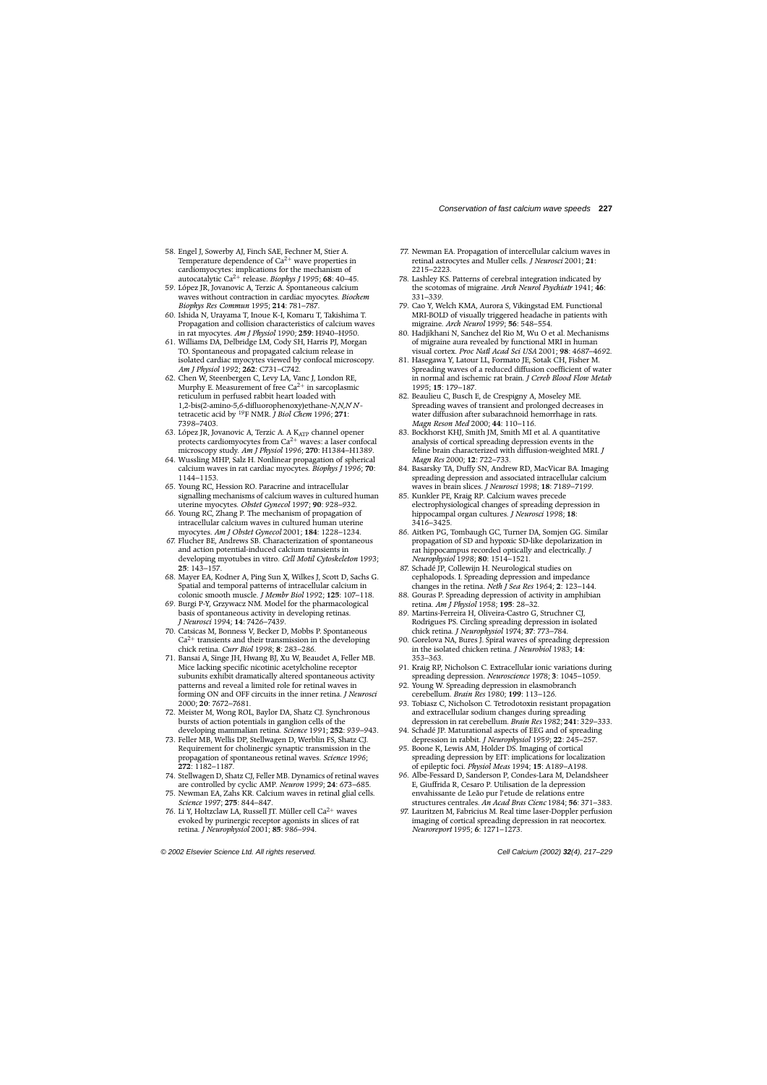- <span id="page-10-0"></span>58. Engel J, Sowerby AJ, Finch SAE, Fechner M, Stier A. Temperature dependence of  $Ca^{2+}$  wave properties in cardiomyocytes: implications for the mechanism of autocatalytic Ca2<sup>+</sup> release. *Biophys J* 1995; **68**: 40–45.
- 59. López JR, Jovanovic A, Terzic A. Spontaneous calcium waves without contraction in cardiac myocytes. *Biochem Biophys Res Commun* 1995; **214**: 781–787.
- 60. Ishida N, Urayama T, Inoue K-I, Komaru T, Takishima T. Propagation and collision characteristics of calcium waves in rat myocytes. *Am J Physiol* 1990; **259**: H940–H950.
- 61. Williams DA, Delbridge LM, Cody SH, Harris PJ, Morgan TO. Spontaneous and propagated calcium release in isolated cardiac myocytes viewed by confocal microscopy. *Am J Physiol* 1992; **262**: C731–C742.
- 62. Chen W, Steenbergen C, Levy LA, Vanc J, London RE, Murphy E. Measurement of free  $Ca^{2+}$  in sarcoplasmic reticulum in perfused rabbit heart loaded with 1,2-bis(2-amino-5,6-difluorophenoxy)ethane-*N*,*N*,*N N* tetracetic acid by 19F NMR. *J Biol Chem* 1996; **271**: 7398–7403.
- 63. López JR, Jovanovic A, Terzic A. A KATP channel opener protects cardiomyocytes from  $Ca^{2+}$  waves: a laser confocal microscopy study. *Am J Physiol* 1996; **270**: H1384–H1389.
- 64. Wussling MHP, Salz H. Nonlinear propagation of spherical calcium waves in rat cardiac myocytes. *Biophys J* 1996; **70**: 1144–1153.
- 65. Young RC, Hession RO. Paracrine and intracellular signalling mechanisms of calcium waves in cultured human uterine myocytes. *Obstet Gynecol* 1997; **90**: 928–932.
- 66. Young RC, Zhang P. The mechanism of propagation of intracellular calcium waves in cultured human uterine myocytes. *Am J Obstet Gynecol* 2001; **184**: 1228–1234.
- 67. Flucher BE, Andrews SB. Characterization of spontaneous and action potential-induced calcium transients in developing myotubes in vitro. *Cell Motil Cytoskeleton* 1993; **25**: 143–157.
- 68. Mayer EA, Kodner A, Ping Sun X, Wilkes J, Scott D, Sachs G. Spatial and temporal patterns of intracellular calcium in colonic smooth muscle. *J Membr Biol* 1992; **125**: 107–118.
- 69. Burgi P-Y, Grzywacz NM. Model for the pharmacological basis of spontaneous activity in developing retinas. *J Neurosci* 1994; **14**: 7426–7439.
- 70. Catsicas M, Bonness V, Becker D, Mobbs P. Spontaneous  $Ca<sup>2+</sup>$  transients and their transmission in the developing chick retina. *Curr Biol* 1998; **8**: 283–286.
- 71. Bansai A, Singe JH, Hwang BJ, Xu W, Beaudet A, Feller MB. Mice lacking specific nicotinic acetylcholine receptor subunits exhibit dramatically altered spontaneous activity patterns and reveal a limited role for retinal waves in forming ON and OFF circuits in the inner retina. *J Neurosci* 2000; **20**: 7672–7681.
- 72. Meister M, Wong ROL, Baylor DA, Shatz CJ. Synchronous bursts of action potentials in ganglion cells of the developing mammalian retina. *Science* 1991; **252**: 939–943.
- 73. Feller MB, Wellis DP, Stellwagen D, Werblin FS, Shatz CJ. Requirement for cholinergic synaptic transmission in the propagation of spontaneous retinal waves. *Science* 1996; **272**: 1182–1187.
- 74. Stellwagen D, Shatz CJ, Feller MB. Dynamics of retinal waves are controlled by cyclic AMP. *Neuron* 1999; **24**: 673–685.
- 75. Newman EA, Zahs KR. Calcium waves in retinal glial cells. *Science* 1997; **275**: 844–847.
- 76. Li Y, Holtzclaw LA, Russell JT. Müller cell  $Ca^{2+}$  waves evoked by purinergic receptor agonists in slices of rat retina. *J Neurophysiol* 2001; **85**: 986–994.
- 77. Newman EA. Propagation of intercellular calcium waves in retinal astrocytes and Muller cells. *J Neurosci* 2001; **21**: 2215–2223.
- 78. Lashley KS. Patterns of cerebral integration indicated by the scotomas of migraine. *Arch Neurol Psychiatr* 1941; **46**: 331–339.
- 79. Cao Y, Welch KMA, Aurora S, Vikingstad EM. Functional MRI-BOLD of visually triggered headache in patients with migraine. *Arch Neurol* 1999; **56**: 548–554.
- 80. Hadjikhani N, Sanchez del Rio M, Wu O et al. Mechanisms of migraine aura revealed by functional MRI in human visual cortex. *Proc Natl Acad Sci USA* 2001; **98**: 4687–4692.
- 81. Hasegawa Y, Latour LL, Formato JE, Sotak CH, Fisher M. Spreading waves of a reduced diffusion coefficient of water in normal and ischemic rat brain. *J Cereb Blood Flow Metab* 1995; **15**: 179–187.
- 82. Beaulieu C, Busch E, de Crespigny A, Moseley ME. Spreading waves of transient and prolonged decreases in water diffusion after subarachnoid hemorrhage in rats. *Magn Reson Med* 2000; **44**: 110–116.
- 83. Bockhorst KHJ, Smith JM, Smith MI et al. A quantitative analysis of cortical spreading depression events in the feline brain characterized with diffusion-weighted MRI. *J Magn Res* 2000; **12**: 722–733.
- 84. Basarsky TA, Duffy SN, Andrew RD, MacVicar BA. Imaging spreading depression and associated intracellular calcium waves in brain slices. *J Neurosci* 1998; **18**: 7189–7199.
- 85. Kunkler PE, Kraig RP. Calcium waves precede electrophysiological changes of spreading depression in hippocampal organ cultures. *J Neurosci* 1998; **18**: 3416–3425.
- 86. Aitken PG, Tombaugh GC, Turner DA, Somjen GG. Similar propagation of SD and hypoxic SD-like depolarization in rat hippocampus recorded optically and electrically. *J Neurophysiol* 1998; **80**: 1514–1521.
- 87. Schadé JP, Collewijn H. Neurological studies on cephalopods. I. Spreading depression and impedance changes in the retina. *Neth J Sea Res* 1964; **2**: 123–144.
- 88. Gouras P. Spreading depression of activity in amphibian retina. *Am J Physiol* 1958; **195**: 28–32.
- 89. Martins-Ferreira H, Oliveira-Castro G, Struchner CJ, Rodrigues PS. Circling spreading depression in isolated chick retina. *J Neurophysiol* 1974; **37**: 773–784.
- 90. Gorelova NA, Bures J. Spiral waves of spreading depression in the isolated chicken retina. *J Neurobiol* 1983; **14**: 353–363.
- 91. Kraig RP, Nicholson C. Extracellular ionic variations during spreading depression. *Neuroscience* 1978; **3**: 1045–1059.
- 92. Young W. Spreading depression in elasmobranch cerebellum. *Brain Res* 1980; **199**: 113–126.
- 93. Tobiasz C, Nicholson C. Tetrodotoxin resistant propagation and extracellular sodium changes during spreading depression in rat cerebellum. *Brain Res* 1982; **241**: 329–333.
- 94. Schadé JP. Maturational aspects of EEG and of spreading depression in rabbit. *J Neurophysiol* 1959; **22**: 245–257.
- 95. Boone K, Lewis AM, Holder DS. Imaging of cortical spreading depression by EIT: implications for localization of epileptic foci. *Physiol Meas* 1994; **15**: A189–A198.
- 96. Albe-Fessard D, Sanderson P, Condes-Lara M, Delandsheer E, Giuffrida R, Cesaro P. Utilisation de la depression envahissante de Leão pur l'etude de relations entre structures centrales. *An Acad Bras Cienc* 1984; **56**: 371–383.
- 97. Lauritzen M, Fabricius M. Real time laser-Doppler perfusion imaging of cortical spreading depression in rat neocortex. *Neuroreport* 1995; **6**: 1271–1273.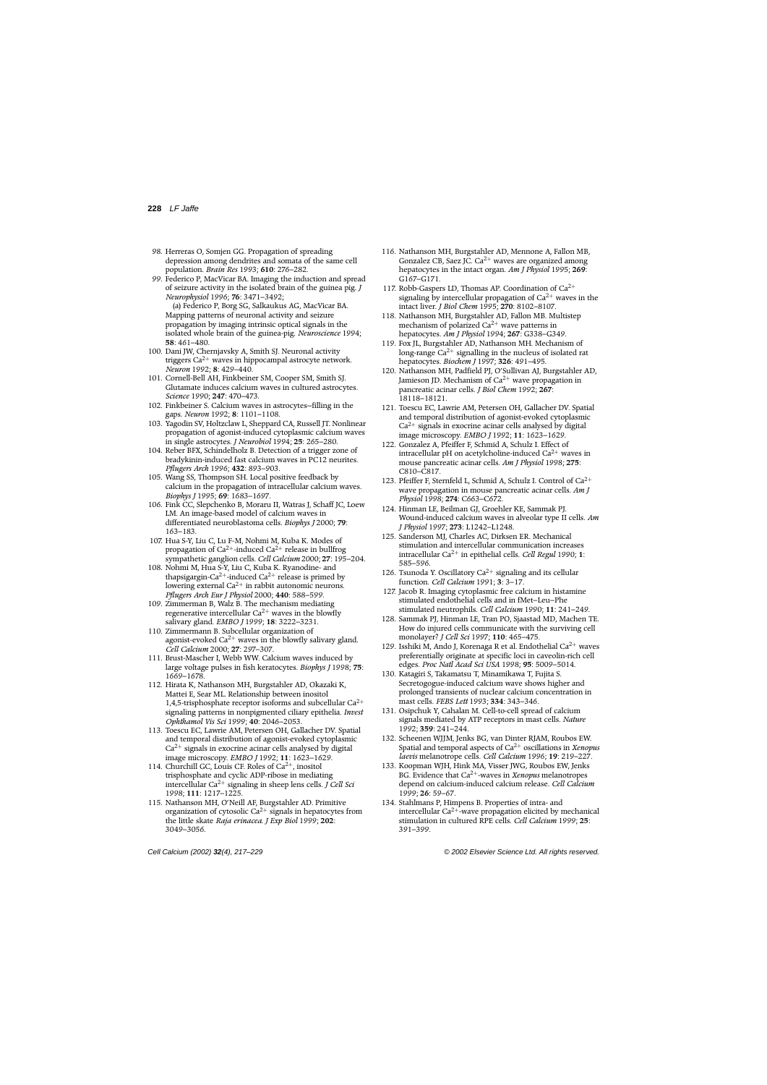- <span id="page-11-0"></span>98. Herreras O, Somjen GG. Propagation of spreading depression among dendrites and somata of the same cell population. *Brain Res* 1993; **610**: 276–282.
- 99. Federico P, MacVicar BA. Imaging the induction and spread of seizure activity in the isolated brain of the guinea pig. *J Neurophysiol* 1996; **76**: 3471–3492; (a) Federico P, Borg SG, Salkaukus AG, MacVicar BA. Mapping patterns of neuronal activity and seizure propagation by imaging intrinsic optical signals in the isolated whole brain of the guinea-pig. *Neuroscience* 1994; **58**: 461–480.
- 100. Dani JW, Chernjavsky A, Smith SJ. Neuronal activity triggers  $Ca^{2+}$  waves in hippocampal astrocyte network. *Neuron* 1992; **8**: 429–440.
- 101. Cornell-Bell AH, Finkbeiner SM, Cooper SM, Smith SJ. Glutamate induces calcium waves in cultured astrocytes. *Science* 1990; **247**: 470–473.
- 102. Finkbeiner S. Calcium waves in astrocytes—filling in the gaps. *Neuron* 1992; **8**: 1101–1108.
- 103. Yagodin SV, Holtzclaw L, Sheppard CA, Russell JT. Nonlinear propagation of agonist-induced cytoplasmic calcium waves in single astrocytes. *J Neurobiol* 1994; **25**: 265–280.
- 104. Reber BFX, Schindelholz B. Detection of a trigger zone of bradykinin-induced fast calcium waves in PC12 neurites. *Pflugers Arch* 1996; **432**: 893–903.
- 105. Wang SS, Thompson SH. Local positive feedback by calcium in the propagation of intracellular calcium waves. *Biophys J* 1995; **69**: 1683–1697.
- 106. Fink CC, Slepchenko B, Moraru II, Watras J, Schaff JC, Loew LM. An image-based model of calcium waves in differentiated neuroblastoma cells. *Biophys J* 2000; **79**: 163–183.
- 107. Hua S-Y, Liu C, Lu F-M, Nohmi M, Kuba K. Modes of propagation of  $Ca^{2+}$ -induced  $Ca^{2+}$  release in bullfrog sympathetic ganglion cells. *Cell Calcium* 2000; **27**: 195–204.
- 108. Nohmi M, Hua S-Y, Liu C, Kuba K. Ryanodine- and thapsigargin-Ca<sup>2+</sup>-induced Ca<sup>2+</sup> release is primed by lowering external Ca<sup>2+</sup> in rabbit autonomic neurons. *Pflugers Arch Eur J Physiol* 2000; **440**: 588–599.
- 109. Zimmerman B, Walz B. The mechanism mediating regenerative intercellular  $Ca^{2+}$  waves in the blowfly salivary gland. *EMBO J* 1999; **18**: 3222–3231.
- 110. Zimmermann B. Subcellular organization of agonist-evoked  $Ca^{2+}$  waves in the blowfly salivary gland. *Cell Calcium* 2000; **27**: 297–307.
- 111. Brust-Mascher I, Webb WW. Calcium waves induced by large voltage pulses in fish keratocytes. *Biophys J* 1998; **75**: 1669–1678.
- 112. Hirata K, Nathanson MH, Burgstahler AD, Okazaki K, Mattei E, Sear ML. Relationship between inositol 1,4,5-trisphosphate receptor isoforms and subcellular  $Ca^{2+}$ signaling patterns in nonpigmented ciliary epithelia. *Invest Ophthamol Vis Sci* 1999; **40**: 2046–2053.
- 113. Toescu EC, Lawrie AM, Petersen OH, Gallacher DV. Spatial and temporal distribution of agonist-evoked cytoplasmic  $Ca<sup>2+</sup>$  signals in exocrine acinar cells analysed by digital image microscopy. *EMBO J* 1992; **11**: 1623–1629.
- 114. Churchill GC, Louis CF. Roles of  $Ca^{2+}$ , inositol trisphosphate and cyclic ADP-ribose in mediating intercellular Ca2<sup>+</sup> signaling in sheep lens cells. *J Cell Sci* 1998; **111**: 1217–1225.
- 115. Nathanson MH, O'Neill AF, Burgstahler AD. Primitive organization of cytosolic  $Ca^{2+}$  signals in hepatocytes from the little skate *Raja erinacea*. *J Exp Biol* 1999; **202**: 3049–3056.
- 116. Nathanson MH, Burgstahler AD, Mennone A, Fallon MB, Gonzalez CB, Saez JC. Ca<sup>2+</sup> waves are organized among hepatocytes in the intact organ. *Am J Physiol* 1995; **269**: G167–G171.
- 117. Robb-Gaspers LD, Thomas AP. Coordination of  $Ca^{2+}$ signaling by intercellular propagation of  $Ca^{2+}$  waves in the intact liver. *J Biol Chem* 1995; **270**: 8102–8107.
- 118. Nathanson MH, Burgstahler AD, Fallon MB. Multistep mechanism of polarized  $Ca^{2+}$  wave patterns in hepatocytes. *Am J Physiol* 1994; **267**: G338–G349.
- 119. Fox JL, Burgstahler AD, Nathanson MH. Mechanism of long-range  $Ca^{2+}$  signalling in the nucleus of isolated rat hepatocytes. *Biochem J* 1997; **326**: 491–495.
- 120. Nathanson MH, Padfield PJ, O'Sullivan AJ, Burgstahler AD, Jamieson JD. Mechanism of  $Ca^{2+}$  wave propagation in pancreatic acinar cells. *J Biol Chem* 1992; **267**: 18118–18121.
- 121. Toescu EC, Lawrie AM, Petersen OH, Gallacher DV. Spatial and temporal distribution of agonist-evoked cytoplasmic  $Ca<sup>2+</sup>$  signals in exocrine acinar cells analysed by digital image microscopy. *EMBO J* 1992; **11**: 1623–1629.
- 122. Gonzalez A, Pfeiffer F, Schmid A, Schulz I. Effect of intracellular pH on acetylcholine-induced  $Ca^{2+}$  waves in mouse pancreatic acinar cells. *Am J Physiol* 1998; **275**: C810–C817.
- 123. Pfeiffer F, Sternfeld L, Schmid A, Schulz I. Control of Ca2<sup>+</sup> wave propagation in mouse pancreatic acinar cells. *Am J Physiol* 1998; **274**: C663–C672.
- 124. Hinman LE, Beilman GJ, Groehler KE, Sammak PJ. Wound-induced calcium waves in alveolar type II cells. *Am J Physiol* 1997; **273**: L1242–L1248.
- 125. Sanderson MJ, Charles AC, Dirksen ER. Mechanical stimulation and intercellular communication increases intracellular Ca2<sup>+</sup> in epithelial cells. *Cell Regul* 1990; **1**: 585–596.
- 126. Tsunoda Y. Oscillatory  $Ca^{2+}$  signaling and its cellular function. *Cell Calcium* 1991; **3**: 3–17.
- 127. Jacob R. Imaging cytoplasmic free calcium in histamine stimulated endothelial cells and in fMet–Leu–Phe stimulated neutrophils. *Cell Calcium* 1990; **11**: 241–249.
- 128. Sammak PJ, Hinman LE, Tran PO, Sjaastad MD, Machen TE. How do injured cells communicate with the surviving cell monolayer? *J Cell Sci* 1997; **110**: 465–475.
- 129. Isshiki M, Ando J, Korenaga R et al. Endothelial Ca<sup>2+</sup> waves preferentially originate at specific loci in caveolin-rich cell edges. *Proc Natl Acad Sci USA* 1998; **95**: 5009–5014.
- 130. Katagiri S, Takamatsu T, Minamikawa T, Fujita S. Secretogogue-induced calcium wave shows higher and prolonged transients of nuclear calcium concentration in mast cells. *FEBS Lett* 1993; **334**: 343–346.
- 131. Osipchuk Y, Cahalan M. Cell-to-cell spread of calcium signals mediated by ATP receptors in mast cells. *Nature* 1992; **359**: 241–244.
- 132. Scheenen WJJM, Jenks BG, van Dinter RJAM, Roubos EW. Spatial and temporal aspects of Ca2<sup>+</sup> oscillations in *Xenopus laevis* melanotrope cells. *Cell Calcium* 1996; **19**: 219–227.
- 133. Koopman WJH, Hink MA, Visser JWG, Roubos EW, Jenks BG. Evidence that Ca2+-waves in *Xenopus* melanotropes depend on calcium-induced calcium release. *Cell Calcium* 1999; **26**: 59–67.
- 134. Stahlmans P, Himpens B. Properties of intra- and intercellular  $Ca^{2+}$ -wave propagation elicited by mechanical stimulation in cultured RPE cells. *Cell Calcium* 1999; **25**: 391–399.